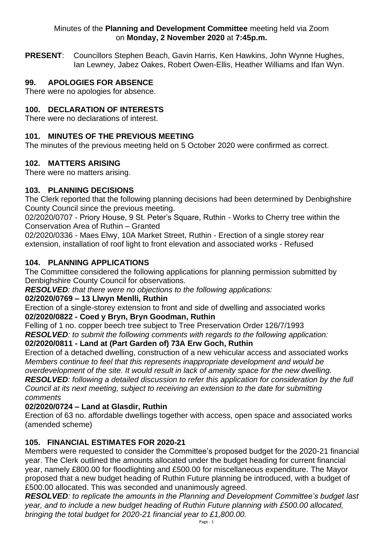#### Minutes of the **Planning and Development Committee** meeting held via Zoom on **Monday, 2 November 2020** at **7:45p.m.**

**PRESENT**: Councillors Stephen Beach, Gavin Harris, Ken Hawkins, John Wynne Hughes, Ian Lewney, Jabez Oakes, Robert Owen-Ellis, Heather Williams and Ifan Wyn.

## **99. APOLOGIES FOR ABSENCE**

There were no apologies for absence.

### **100. DECLARATION OF INTERESTS**

There were no declarations of interest.

### **101. MINUTES OF THE PREVIOUS MEETING**

The minutes of the previous meeting held on 5 October 2020 were confirmed as correct.

### **102. MATTERS ARISING**

There were no matters arising.

## **103. PLANNING DECISIONS**

The Clerk reported that the following planning decisions had been determined by Denbighshire County Council since the previous meeting.

02/2020/0707 - Priory House, 9 St. Peter's Square, Ruthin - Works to Cherry tree within the Conservation Area of Ruthin – Granted

02/2020/0336 - Maes Elwy, 10A Market Street, Ruthin - Erection of a single storey rear extension, installation of roof light to front elevation and associated works - Refused

### **104. PLANNING APPLICATIONS**

The Committee considered the following applications for planning permission submitted by Denbighshire County Council for observations.

*RESOLVED: that there were no objections to the following applications:* 

### **02/2020/0769 – 13 Llwyn Menlli, Ruthin**

Erection of a single-storey extension to front and side of dwelling and associated works **02/2020/0822 - Coed y Bryn, Bryn Goodman, Ruthin**

Felling of 1 no. copper beech tree subject to Tree Preservation Order 126/7/1993 *RESOLVED: to submit the following comments with regards to the following application:*

## **02/2020/0811 - Land at (Part Garden of) 73A Erw Goch, Ruthin**

Erection of a detached dwelling, construction of a new vehicular access and associated works *Members continue to feel that this represents inappropriate development and would be overdevelopment of the site. It would result in lack of amenity space for the new dwelling.* 

*RESOLVED: following a detailed discussion to refer this application for consideration by the full Council at its next meeting, subject to receiving an extension to the date for submitting comments*

### **02/2020/0724 – Land at Glasdir, Ruthin**

Erection of 63 no. affordable dwellings together with access, open space and associated works (amended scheme)

### **105. FINANCIAL ESTIMATES FOR 2020-21**

Members were requested to consider the Committee's proposed budget for the 2020-21 financial year. The Clerk outlined the amounts allocated under the budget heading for current financial year, namely £800.00 for floodlighting and £500.00 for miscellaneous expenditure. The Mayor proposed that a new budget heading of Ruthin Future planning be introduced, with a budget of £500.00 allocated. This was seconded and unanimously agreed.

*RESOLVED: to replicate the amounts in the Planning and Development Committee's budget last year, and to include a new budget heading of Ruthin Future planning with £500.00 allocated, bringing the total budget for 2020-21 financial year to £1,800.00.*